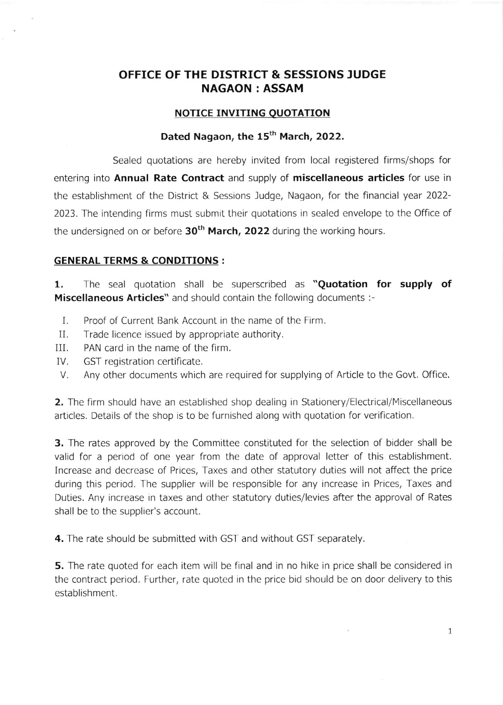## OFFICE OF THE DISTRICT & SESSIONS JUDGE NAGAON : ASSAM

#### NOTICE INVITING QUOTATION

## Dated Nagaon, the 15<sup>th</sup> March, 2022.

Sealed quotations are hereby invited from local registered firms/shops for entering into Annual Rate Contract and supply of miscellaneous articles for use in the establishment of the District & Sessions Judge, Nagaon, for the financial year 2022- 2023. The intendinq firms must submit their quotations in sealed envelope to the Office of the undersigned on or before  $30<sup>th</sup>$  March, 2022 during the working hours.

#### GENERAL TERMS & CONDITIONS :

1. The seal quotation shall be superscribed as "Quotation for supply of Miscellaneous Articles" and should contain the following documents :-

- I. Proof of Current Bank Account in the name of the Firm.
- II. Trade licence issued by appropriate authority.
- III. PAN card in the name of the firm.
- IV. GST registration certificate.
- V. Any other documents which are required for supplying of Article to the Govt. Office.

2. The firm should have an established shop dealing in Stationery/Electrical/Miscellaneous articles. Details of the shop is to be furnished along with quotation for verification.

3. The rates approved by the Committee constituted for the selection of bidder shall be valid for a period of one year from the date of approval letter of this establishment. Increase and decrease of Prices, Taxes and other statutory duties will not affect the price during this period. The supplier will be responsible for any increase in Prices, Taxes and Duties. Any increase in taxes and other statutory duties/levies after the approval of Rates shall be to the supplier's account.

4. The rate should be submitted with GST and without GST separately.

**5.** The rate quoted for each item will be final and in no hike in price shall be considered in the contract period. Further, rate quoted in the price bid should be on door delivery to this establishment.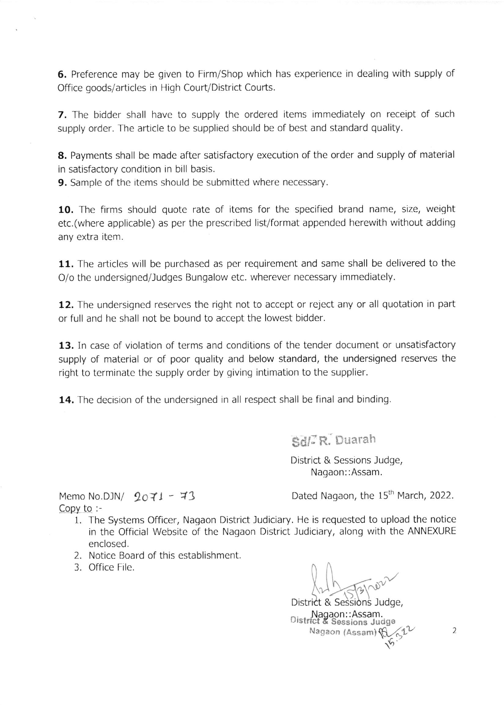6. Preference may be given to Firm/Shop which has experience in dealing with supply of Office qoods/articles in High Court/District Courts.

**7.** The bidder shall have to supply the ordered items immediately on receipt of such supply order. The article to be supplied should be of best and standard quality.

8. Payments shall be made after satisfactory execution of the order and supply of material in satisfactory condition in bill basis.

**9.** Sample of the items should be submitted where necessary.

10. The firms should quote rate of items for the specified brand name, size, weight etc.(where applicable) as per the prescribed list/format appended herewith without adding any extra item.

11. The articles will be purchased as per requirement and same shall be delivered to the O/o the undersigned/Judges Bungalow etc. wherever necessary immediately.

12. The undersigned reserves the right not to accept or reject any or all quotation in part or full and he shall not be bound to accept the lowest bidder.

13. In case of violation of terms and conditions of the tender document or unsatisfactory supply of material or of poor quality and below standard, the undersigned reserves the right to terminate the supply order by giving intimation to the supplier.

14. The decision of the undersigned in all respect shall be final and binding.

gd/;R. Buarah

District & Sessions Judqe, Nagaon::Assam.

Copy to  $:=$ 

Memo No.DJN/  $2071 - 73$  Dated Nagaon, the 15<sup>th</sup> March, 2022.

- 1. The Systems Officer, Nagaon District Judiciary. He is requested to upload the notice in the Official Website of the Nagaon District ludiciary, along with the ANNEXURE enclosed.
- 2. Notice Board of this establishment
- 3. Office File.

District & Sessions Judge, Nagaon::Assam.<br>District & Sessions Judge Nagaon (Assam) (C  $\mathcal{L}_{\mathcal{P}}$ .